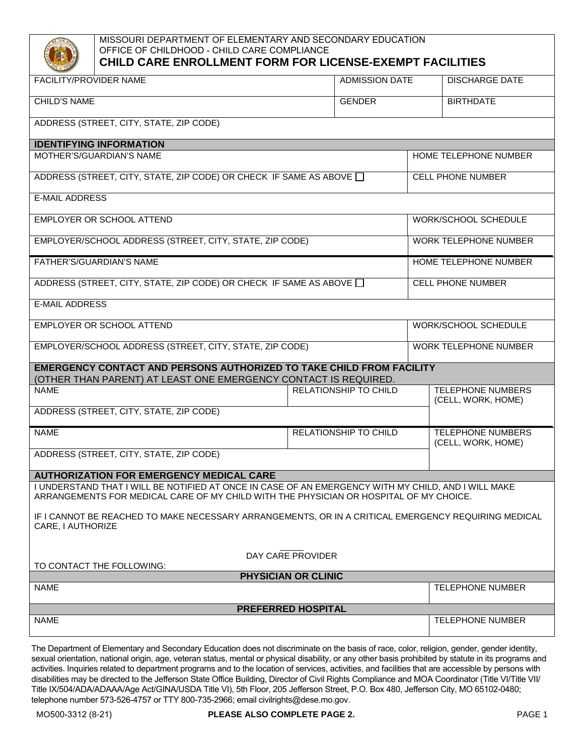

## MISSOURI DEPARTMENT OF ELEMENTARY AND SECONDARY EDUCATION OFFICE OF CHILDHOOD - CHILD CARE COMPLIANCE **CHILD CARE ENROLLMENT FORM FOR LICENSE-EXEMPT FACILITIES**

| <b>FACILITY/PROVIDER NAME</b>                                                                                                                                                                 | <b>ADMISSION DATE</b> | <b>DISCHARGE DATE</b>                          |  |
|-----------------------------------------------------------------------------------------------------------------------------------------------------------------------------------------------|-----------------------|------------------------------------------------|--|
| <b>CHILD'S NAME</b>                                                                                                                                                                           | <b>GENDER</b>         | <b>BIRTHDATE</b>                               |  |
| ADDRESS (STREET, CITY, STATE, ZIP CODE)                                                                                                                                                       |                       |                                                |  |
| <b>IDENTIFYING INFORMATION</b>                                                                                                                                                                |                       |                                                |  |
| MOTHER'S/GUARDIAN'S NAME                                                                                                                                                                      |                       | HOME TELEPHONE NUMBER                          |  |
| ADDRESS (STREET, CITY, STATE, ZIP CODE) OR CHECK IF SAME AS ABOVE [                                                                                                                           |                       | <b>CELL PHONE NUMBER</b>                       |  |
| <b>E-MAIL ADDRESS</b>                                                                                                                                                                         |                       |                                                |  |
| EMPLOYER OR SCHOOL ATTEND                                                                                                                                                                     |                       | WORK/SCHOOL SCHEDULE                           |  |
| EMPLOYER/SCHOOL ADDRESS (STREET, CITY, STATE, ZIP CODE)                                                                                                                                       |                       | <b>WORK TELEPHONE NUMBER</b>                   |  |
| FATHER'S/GUARDIAN'S NAME                                                                                                                                                                      |                       | HOME TELEPHONE NUMBER                          |  |
| ADDRESS (STREET, CITY, STATE, ZIP CODE) OR CHECK IF SAME AS ABOVE [                                                                                                                           |                       | <b>CELL PHONE NUMBER</b>                       |  |
| <b>E-MAIL ADDRESS</b>                                                                                                                                                                         |                       |                                                |  |
| EMPLOYER OR SCHOOL ATTEND                                                                                                                                                                     |                       | WORK/SCHOOL SCHEDULE                           |  |
| EMPLOYER/SCHOOL ADDRESS (STREET, CITY, STATE, ZIP CODE)                                                                                                                                       |                       | <b>WORK TELEPHONE NUMBER</b>                   |  |
| <b>EMERGENCY CONTACT AND PERSONS AUTHORIZED TO TAKE CHILD FROM FACILITY</b><br>(OTHER THAN PARENT) AT LEAST ONE EMERGENCY CONTACT IS REQUIRED.                                                |                       |                                                |  |
| <b>NAME</b>                                                                                                                                                                                   | RELATIONSHIP TO CHILD | <b>TELEPHONE NUMBERS</b><br>(CELL, WORK, HOME) |  |
| ADDRESS (STREET, CITY, STATE, ZIP CODE)                                                                                                                                                       |                       |                                                |  |
| <b>NAME</b>                                                                                                                                                                                   | RELATIONSHIP TO CHILD | <b>TELEPHONE NUMBERS</b><br>(CELL, WORK, HOME) |  |
| ADDRESS (STREET, CITY, STATE, ZIP CODE)                                                                                                                                                       |                       |                                                |  |
| <b>AUTHORIZATION FOR EMERGENCY MEDICAL CARE</b>                                                                                                                                               |                       |                                                |  |
| I UNDERSTAND THAT I WILL BE NOTIFIED AT ONCE IN CASE OF AN EMERGENCY WITH MY CHILD, AND I WILL MAKE<br>ARRANGEMENTS FOR MEDICAL CARE OF MY CHILD WITH THE PHYSICIAN OR HOSPITAL OF MY CHOICE. |                       |                                                |  |
| IF I CANNOT BE REACHED TO MAKE NECESSARY ARRANGEMENTS, OR IN A CRITICAL EMERGENCY REQUIRING MEDICAL<br>CARE, I AUTHORIZE                                                                      |                       |                                                |  |
| DAY CARE PROVIDER                                                                                                                                                                             |                       |                                                |  |
| TO CONTACT THE FOLLOWING:                                                                                                                                                                     |                       |                                                |  |
| PHYSICIAN OR CLINIC                                                                                                                                                                           |                       |                                                |  |
| <b>NAME</b>                                                                                                                                                                                   |                       | <b>TELEPHONE NUMBER</b>                        |  |
| <b>PREFERRED HOSPITAL</b>                                                                                                                                                                     |                       |                                                |  |
| <b>NAME</b>                                                                                                                                                                                   |                       | <b>TELEPHONE NUMBER</b>                        |  |

The Department of Elementary and Secondary Education does not discriminate on the basis of race, color, religion, gender, gender identity, sexual orientation, national origin, age, veteran status, mental or physical disability, or any other basis prohibited by statute in its programs and activities. Inquiries related to department programs and to the location of services, activities, and facilities that are accessible by persons with disabilities may be directed to the Jefferson State Office Building, Director of Civil Rights Compliance and MOA Coordinator (Title VI/Title VII/ Title IX/504/ADA/ADAAA/Age Act/GINA/USDA Title VI), 5th Floor, 205 Jefferson Street, P.O. Box 480, Jefferson City, MO 65102-0480; telephone number 573-526-4757 or TTY 800-735-2966; email civilrights@dese.mo.gov.